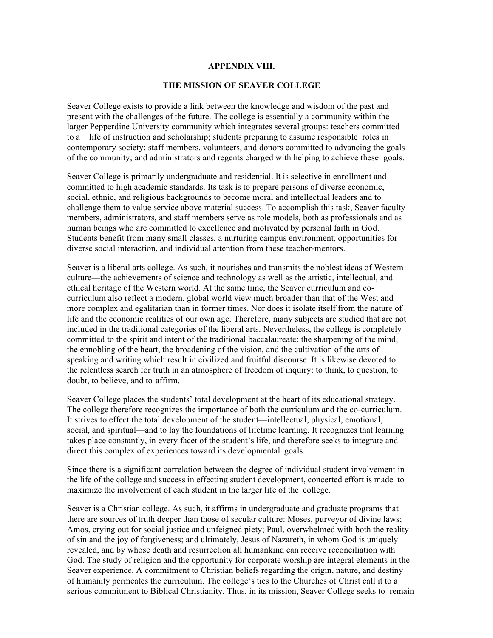## **APPENDIX VIII.**

## **THE MISSION OF SEAVER COLLEGE**

 Seaver College exists to provide a link between the knowledge and wisdom of the past and present with the challenges of the future. The college is essentially a community within the larger Pepperdine University community which integrates several groups: teachers committed larger Pepperdine University community which integrates several groups: teachers committed to a life of instruction and scholarship; students preparing to assume responsible roles in contemporary society; staff members, volunteers, and donors committed to advancing the goals of the community; and administrators and regents charged with helping to achieve these goals.

 Seaver College is primarily undergraduate and residential. It is selective in enrollment and committed to high academic standards. Its task is to prepare persons of diverse economic, social, ethnic, and religious backgrounds to become moral and intellectual leaders and to challenge them to value service above material success. To accomplish this task, Seaver faculty members, administrators, and staff members serve as role models, both as professionals and as human beings who are committed to excellence and motivated by personal faith in God. Students benefit from many small classes, a nurturing campus environment, opportunities for diverse social interaction, and individual attention from these teacher-mentors.

 Seaver is a liberal arts college. As such, it nourishes and transmits the noblest ideas of Western ethical heritage of the Western world. At the same time, the Seaver curriculum and co- curriculum also reflect a modern, global world view much broader than that of the West and more complex and egalitarian than in former times. Nor does it isolate itself from the nature of life and the economic realities of our own age. Therefore, many subjects are studied that are not committed to the spirit and intent of the traditional baccalaureate: the sharpening of the mind, the ennobling of the heart, the broadening of the vision, and the cultivation of the arts of speaking and writing which result in civilized and fruitful discourse. It is likewise devoted to the relentless search for truth in an atmosphere of freedom of inquiry: to think, to question, to doubt, to believe, and to affirm. culture—the achievements of science and technology as well as the artistic, intellectual, and included in the traditional categories of the liberal arts. Nevertheless, the college is completely

 Seaver College places the students' total development at the heart of its educational strategy. The college therefore recognizes the importance of both the curriculum and the co-curriculum. It strives to effect the total development of the student—intellectual, physical, emotional, social, and spiritual—and to lay the foundations of lifetime learning. It recognizes that learning takes place constantly, in every facet of the student's life, and therefore seeks to integrate and direct this complex of experiences toward its developmental goals.

 Since there is a significant correlation between the degree of individual student involvement in the life of the college and success in effecting student development, concerted effort is made to maximize the involvement of each student in the larger life of the college.

 Seaver is a Christian college. As such, it affirms in undergraduate and graduate programs that there are sources of truth deeper than those of secular culture: Moses, purveyor of divine laws; Amos, crying out for social justice and unfeigned piety; Paul, overwhelmed with both the reality of sin and the joy of forgiveness; and ultimately, Jesus of Nazareth, in whom God is uniquely revealed, and by whose death and resurrection all humankind can receive reconciliation with God. The study of religion and the opportunity for corporate worship are integral elements in the Seaver experience. A commitment to Christian beliefs regarding the origin, nature, and destiny of humanity permeates the curriculum. The college's ties to the Churches of Christ call it to a serious commitment to Biblical Christianity. Thus, in its mission, Seaver College seeks to remain